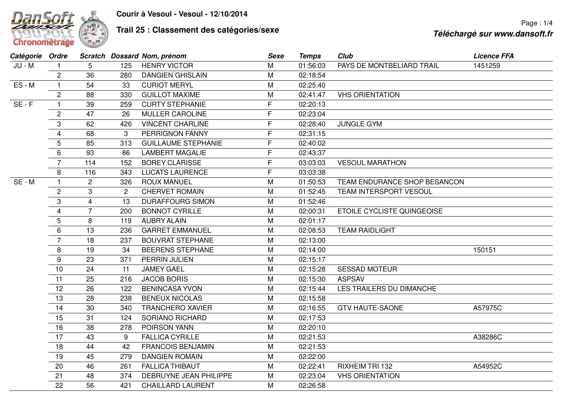

## **Trail 25 : Classement des catégories/sexe**

| Catégorie Ordre |                |                |     | Scratch Dossard Nom, prénom | Sexe | <b>Temps</b> | Club                         | <b>Licence FFA</b> |
|-----------------|----------------|----------------|-----|-----------------------------|------|--------------|------------------------------|--------------------|
| JU - M          |                | 5              | 125 | <b>HENRY VICTOR</b>         | M    | 01:56:03     | PAYS DE MONTBELIARD TRAIL    | 1451259            |
|                 | $\overline{c}$ | 36             | 280 | <b>DANGIEN GHISLAIN</b>     | M    | 02:18:54     |                              |                    |
| ES-M            | $\mathbf{1}$   | 54             | 33  | <b>CURIOT MERYL</b>         | M    | 02:25:40     |                              |                    |
|                 | $\overline{c}$ | 88             | 330 | <b>GUILLOT MAXIME</b>       | M    | 02:41:47     | <b>VHS ORIENTATION</b>       |                    |
| $SE - F$        | $\mathbf{1}$   | 39             | 259 | <b>CURTY STEPHANIE</b>      | F.   | 02:20:13     |                              |                    |
|                 | $\mathbf{2}$   | 47             | 26  | MULLER CAROLINE             | F    | 02:23:04     |                              |                    |
|                 | 3              | 62             | 426 | <b>VINCENT CHARLINE</b>     | F    | 02:28:40     | <b>JUNGLE GYM</b>            |                    |
|                 | $\overline{4}$ | 68             | 3   | PERRIGNON FANNY             | F    | 02:31:15     |                              |                    |
|                 | 5              | 85             | 313 | <b>GUILLAUME STEPHANIE</b>  | F    | 02:40:02     |                              |                    |
|                 | $\,6\,$        | 93             | 86  | <b>LAMBERT MAGALIE</b>      | F    | 02:43:37     |                              |                    |
|                 | $\overline{7}$ | 114            | 152 | <b>BOREY CLARISSE</b>       | F    | 03:03:03     | <b>VESOUL MARATHON</b>       |                    |
|                 | 8              | 116            | 343 | <b>LUCATS LAURENCE</b>      | F.   | 03:03:38     |                              |                    |
| SE - M          | $\mathbf{1}$   | $\overline{2}$ | 326 | <b>ROUX MANUEL</b>          | M    | 01:50:53     | TEAM ENDURANCE SHOP BESANCON |                    |
|                 | $\overline{2}$ | 3              | 2   | <b>CHERVET ROMAIN</b>       | M    | 01:52:45     | TEAM INTERSPORT VESOUL       |                    |
|                 | 3              | $\overline{4}$ | 13  | <b>DURAFFOURG SIMON</b>     | M    | 01:52:46     |                              |                    |
|                 | $\overline{4}$ | $\overline{7}$ | 200 | <b>BONNOT CYRILLE</b>       | M    | 02:00:31     | ETOILE CYCLISTE QUINGEOISE   |                    |
|                 | 5              | 8              | 119 | <b>AUBRY ALAIN</b>          | M    | 02:01:17     |                              |                    |
|                 | $\,6\,$        | 13             | 236 | <b>GARRET EMMANUEL</b>      | M    | 02:08:53     | <b>TEAM RAIDLIGHT</b>        |                    |
|                 | $\overline{7}$ | 18             | 237 | <b>BOUVRAT STEPHANE</b>     | M    | 02:13:00     |                              |                    |
|                 | 8              | 19             | 34  | <b>BEERENS STEPHANE</b>     | M    | 02:14:00     |                              | 150151             |
|                 | 9              | 23             | 371 | PERRIN JULIEN               | M    | 02:15:17     |                              |                    |
|                 | 10             | 24             | 11  | <b>JAMEY GAEL</b>           | M    | 02:15:28     | <b>SESSAD MOTEUR</b>         |                    |
|                 | 11             | 25             | 216 | <b>JACOB BORIS</b>          | M    | 02:15:30     | <b>ASPSAV</b>                |                    |
|                 | 12             | 26             | 122 | <b>BENINCASA YVON</b>       | M    | 02:15:44     | LES TRAILERS DU DIMANCHE     |                    |
|                 | 13             | 28             | 238 | <b>BENEUX NICOLAS</b>       | M    | 02:15:58     |                              |                    |
|                 | 14             | 30             | 340 | <b>TRANCHERO XAVIER</b>     | M    | 02:16:55     | <b>GTV HAUTE-SAONE</b>       | A57975C            |
|                 | 15             | 31             | 124 | <b>SORIANO RICHARD</b>      | M    | 02:17:53     |                              |                    |
|                 | 16             | 38             | 278 | POIRSON YANN                | M    | 02:20:10     |                              |                    |
|                 | 17             | 43             | 9   | <b>FALLICA CYRILLE</b>      | M    | 02:21:53     |                              | A38286C            |
|                 | 18             | 44             | 42  | <b>FRANCOIS BENJAMIN</b>    | M    | 02:21:53     |                              |                    |
|                 | 19             | 45             | 279 | <b>DANGIEN ROMAIN</b>       | M    | 02:22:00     |                              |                    |
|                 | 20             | 46             | 261 | <b>FALLICA THIBAUT</b>      | M    | 02:22:41     | <b>RIXHEIM TRI 132</b>       | A54952C            |
|                 | 21             | 48             | 374 | DEBRUYNE JEAN PHILIPPE      | M    | 02:23:04     | <b>VHS ORIENTATION</b>       |                    |
|                 | 22             | 56             | 421 | <b>CHAILLARD LAURENT</b>    | M    | 02:26:58     |                              |                    |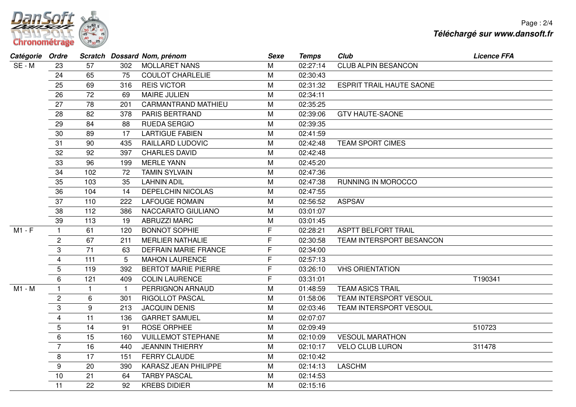

| Catégorie Ordre |                 |              |              | Scratch Dossard Nom, prénom | <b>Sexe</b> | <b>Temps</b> | Club                            | <b>Licence FFA</b> |
|-----------------|-----------------|--------------|--------------|-----------------------------|-------------|--------------|---------------------------------|--------------------|
| SE - M          | 23              | 57           | 302          | <b>MOLLARET NANS</b>        | М           | 02:27:14     | <b>CLUB ALPIN BESANCON</b>      |                    |
|                 | 24              | 65           | 75           | <b>COULOT CHARLELIE</b>     | M           | 02:30:43     |                                 |                    |
|                 | 25              | 69           | 316          | <b>REIS VICTOR</b>          | M           | 02:31:32     | <b>ESPRIT TRAIL HAUTE SAONE</b> |                    |
|                 | 26              | 72           | 69           | <b>MAIRE JULIEN</b>         | M           | 02:34:11     |                                 |                    |
|                 | 27              | 78           | 201          | <b>CARMANTRAND MATHIEU</b>  | M           | 02:35:25     |                                 |                    |
|                 | 28              | 82           | 378          | PARIS BERTRAND              | M           | 02:39:06     | <b>GTV HAUTE-SAONE</b>          |                    |
|                 | 29              | 84           | 88           | <b>RUEDA SERGIO</b>         | M           | 02:39:35     |                                 |                    |
|                 | 30              | 89           | 17           | <b>LARTIGUE FABIEN</b>      | M           | 02:41:59     |                                 |                    |
|                 | 31              | 90           | 435          | <b>RAILLARD LUDOVIC</b>     | М           | 02:42:48     | <b>TEAM SPORT CIMES</b>         |                    |
|                 | 32              | 92           | 397          | <b>CHARLES DAVID</b>        | M           | 02:42:48     |                                 |                    |
|                 | 33              | 96           | 199          | <b>MERLE YANN</b>           | M           | 02:45:20     |                                 |                    |
|                 | 34              | 102          | 72           | <b>TAMIN SYLVAIN</b>        | M           | 02:47:36     |                                 |                    |
|                 | 35              | 103          | 35           | <b>LAHNIN ADIL</b>          | M           | 02:47:38     | RUNNING IN MOROCCO              |                    |
|                 | 36              | 104          | 14           | <b>DEPELCHIN NICOLAS</b>    | M           | 02:47:55     |                                 |                    |
|                 | 37              | 110          | 222          | <b>LAFOUGE ROMAIN</b>       | M           | 02:56:52     | <b>ASPSAV</b>                   |                    |
|                 | 38              | 112          | 386          | NACCARATO GIULIANO          | M           | 03:01:07     |                                 |                    |
|                 | 39              | 113          | 19           | <b>ABRUZZI MARC</b>         | M           | 03:01:45     |                                 |                    |
| M1 - F          | $\mathbf{1}$    | 61           | 120          | <b>BONNOT SOPHIE</b>        | F           | 02:28:21     | <b>ASPTT BELFORT TRAIL</b>      |                    |
|                 | $\overline{c}$  | 67           | 211          | <b>MERLIER NATHALIE</b>     | F           | 02:30:58     | TEAM INTERSPORT BESANCON        |                    |
|                 | 3               | 71           | 63           | <b>DEFRAIN MARIE FRANCE</b> | F           | 02:34:00     |                                 |                    |
|                 | $\overline{4}$  | 111          | 5            | <b>MAHON LAURENCE</b>       | F           | 02:57:13     |                                 |                    |
|                 | $5\phantom{.0}$ | 119          | 392          | <b>BERTOT MARIE PIERRE</b>  | F           | 03:26:10     | <b>VHS ORIENTATION</b>          |                    |
|                 | 6               | 121          | 409          | <b>COLIN LAURENCE</b>       | F           | 03:31:01     |                                 | T190341            |
| M1 - M          |                 | $\mathbf{1}$ | $\mathbf{1}$ | PERRIGNON ARNAUD            | M           | 01:48:59     | <b>TEAM ASICS TRAIL</b>         |                    |
|                 | $\overline{c}$  | 6            | 301          | <b>RIGOLLOT PASCAL</b>      | M           | 01:58:06     | TEAM INTERSPORT VESOUL          |                    |
|                 | 3               | 9            | 213          | <b>JACQUIN DENIS</b>        | M           | 02:03:46     | TEAM INTERSPORT VESOUL          |                    |
|                 | $\overline{4}$  | 11           | 136          | <b>GARRET SAMUEL</b>        | M           | 02:07:07     |                                 |                    |
|                 | $5\phantom{.0}$ | 14           | 91           | ROSE ORPHEE                 | M           | 02:09:49     |                                 | 510723             |
|                 | 6               | 15           | 160          | <b>VUILLEMOT STEPHANE</b>   | M           | 02:10:09     | <b>VESOUL MARATHON</b>          |                    |
|                 | $\overline{7}$  | 16           | 440          | <b>JEANNIN THIERRY</b>      | M           | 02:10:17     | <b>VELO CLUB LURON</b>          | 311478             |
|                 | 8               | 17           | 151          | <b>FERRY CLAUDE</b>         | M           | 02:10:42     |                                 |                    |
|                 | 9               | 20           | 390          | <b>KARASZ JEAN PHILIPPE</b> | M           | 02:14:13     | <b>LASCHM</b>                   |                    |
|                 | 10              | 21           | 64           | <b>TARBY PASCAL</b>         | M           | 02:14:53     |                                 |                    |
|                 | 11              | 22           | 92           | <b>KREBS DIDIER</b>         | M           | 02:15:16     |                                 |                    |
|                 |                 |              |              |                             |             |              |                                 |                    |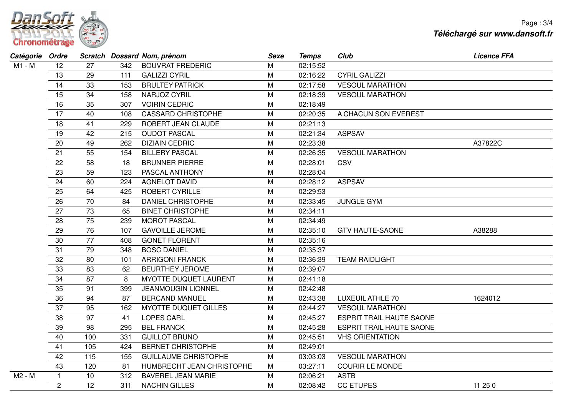

| Catégorie Ordre |              |     |     | Scratch Dossard Nom, prénom  | <b>Sexe</b> | <b>Temps</b> | Club                            | <b>Licence FFA</b> |
|-----------------|--------------|-----|-----|------------------------------|-------------|--------------|---------------------------------|--------------------|
| M1 - M          | 12           | 27  | 342 | <b>BOUVRAT FREDERIC</b>      | M           | 02:15:52     |                                 |                    |
|                 | 13           | 29  | 111 | <b>GALIZZI CYRIL</b>         | M           | 02:16:22     | <b>CYRIL GALIZZI</b>            |                    |
|                 | 14           | 33  | 153 | <b>BRULTEY PATRICK</b>       | M           | 02:17:58     | <b>VESOUL MARATHON</b>          |                    |
|                 | 15           | 34  | 158 | NARJOZ CYRIL                 | M           | 02:18:39     | <b>VESOUL MARATHON</b>          |                    |
|                 | 16           | 35  | 307 | <b>VOIRIN CEDRIC</b>         | M           | 02:18:49     |                                 |                    |
|                 | 17           | 40  | 108 | <b>CASSARD CHRISTOPHE</b>    | M           | 02:20:35     | A CHACUN SON EVEREST            |                    |
|                 | 18           | 41  | 229 | ROBERT JEAN CLAUDE           | M           | 02:21:13     |                                 |                    |
|                 | 19           | 42  | 215 | <b>OUDOT PASCAL</b>          | M           | 02:21:34     | <b>ASPSAV</b>                   |                    |
|                 | 20           | 49  | 262 | <b>DIZIAIN CEDRIC</b>        | M           | 02:23:38     |                                 | A37822C            |
|                 | 21           | 55  | 154 | <b>BILLERY PASCAL</b>        | M           | 02:26:35     | <b>VESOUL MARATHON</b>          |                    |
|                 | 22           | 58  | 18  | <b>BRUNNER PIERRE</b>        | M           | 02:28:01     | CSV                             |                    |
|                 | 23           | 59  | 123 | PASCAL ANTHONY               | M           | 02:28:04     |                                 |                    |
|                 | 24           | 60  | 224 | <b>AGNELOT DAVID</b>         | M           | 02:28:12     | <b>ASPSAV</b>                   |                    |
|                 | 25           | 64  | 425 | ROBERT CYRILLE               | M           | 02:29:53     |                                 |                    |
|                 | 26           | 70  | 84  | <b>DANIEL CHRISTOPHE</b>     | M           | 02:33:45     | <b>JUNGLE GYM</b>               |                    |
|                 | 27           | 73  | 65  | <b>BINET CHRISTOPHE</b>      | M           | 02:34:11     |                                 |                    |
|                 | 28           | 75  | 239 | <b>MOROT PASCAL</b>          | M           | 02:34:49     |                                 |                    |
|                 | 29           | 76  | 107 | <b>GAVOILLE JEROME</b>       | M           | 02:35:10     | <b>GTV HAUTE-SAONE</b>          | A38288             |
|                 | 30           | 77  | 408 | <b>GONET FLORENT</b>         | M           | 02:35:16     |                                 |                    |
|                 | 31           | 79  | 348 | <b>BOSC DANIEL</b>           | M           | 02:35:37     |                                 |                    |
|                 | 32           | 80  | 101 | <b>ARRIGONI FRANCK</b>       | M           | 02:36:39     | <b>TEAM RAIDLIGHT</b>           |                    |
|                 | 33           | 83  | 62  | <b>BEURTHEY JEROME</b>       | M           | 02:39:07     |                                 |                    |
|                 | 34           | 87  | 8   | <b>MYOTTE DUQUET LAURENT</b> | M           | 02:41:18     |                                 |                    |
|                 | 35           | 91  | 399 | <b>JEANMOUGIN LIONNEL</b>    | M           | 02:42:48     |                                 |                    |
|                 | 36           | 94  | 87  | <b>BERCAND MANUEL</b>        | M           | 02:43:38     | <b>LUXEUIL ATHLE 70</b>         | 1624012            |
|                 | 37           | 95  | 162 | <b>MYOTTE DUQUET GILLES</b>  | M           | 02:44:27     | <b>VESOUL MARATHON</b>          |                    |
|                 | 38           | 97  | 41  | <b>LOPES CARL</b>            | M           | 02:45:27     | <b>ESPRIT TRAIL HAUTE SAONE</b> |                    |
|                 | 39           | 98  | 295 | <b>BEL FRANCK</b>            | M           | 02:45:28     | <b>ESPRIT TRAIL HAUTE SAONE</b> |                    |
|                 | 40           | 100 | 331 | <b>GUILLOT BRUNO</b>         | M           | 02:45:51     | <b>VHS ORIENTATION</b>          |                    |
|                 | 41           | 105 | 424 | <b>BERNET CHRISTOPHE</b>     | M           | 02:49:01     |                                 |                    |
|                 | 42           | 115 | 155 | <b>GUILLAUME CHRISTOPHE</b>  | M           | 03:03:03     | <b>VESOUL MARATHON</b>          |                    |
|                 | 43           | 120 | 81  | HUMBRECHT JEAN CHRISTOPHE    | ${\sf M}$   | 03:27:11     | <b>COURIR LE MONDE</b>          |                    |
| M2 - M          | $\mathbf{1}$ | 10  | 312 | <b>BAVEREL JEAN MARIE</b>    | M           | 02:06:21     | <b>ASTB</b>                     |                    |
|                 | $\mathbf{2}$ | 12  | 311 | <b>NACHIN GILLES</b>         | M           | 02:08:42     | <b>CC ETUPES</b>                | 11 25 0            |
|                 |              |     |     |                              |             |              |                                 |                    |